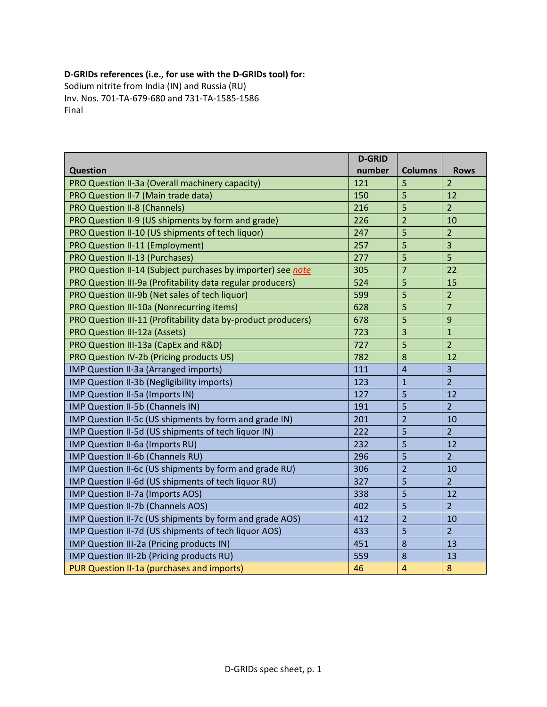## **D‐GRIDs references (i.e., for use with the D‐GRIDs tool) for:**

Sodium nitrite from India (IN) and Russia (RU) Inv. Nos. 701‐TA‐679‐680 and 731‐TA‐1585‐1586 Final

|                                                               | <b>D-GRID</b> |                |                  |
|---------------------------------------------------------------|---------------|----------------|------------------|
| <b>Question</b>                                               | number        | <b>Columns</b> | <b>Rows</b>      |
| PRO Question II-3a (Overall machinery capacity)               | 121           | 5              | $\overline{2}$   |
| PRO Question II-7 (Main trade data)                           | 150           | 5              | 12               |
| <b>PRO Question II-8 (Channels)</b>                           | 216           | 5              | $\overline{2}$   |
| PRO Question II-9 (US shipments by form and grade)            | 226           | $\overline{2}$ | 10               |
| PRO Question II-10 (US shipments of tech liquor)              | 247           | 5              | $\overline{2}$   |
| PRO Question II-11 (Employment)                               | 257           | 5              | $\overline{3}$   |
| <b>PRO Question II-13 (Purchases)</b>                         | 277           | 5              | 5                |
| PRO Question II-14 (Subject purchases by importer) see note   | 305           | $\overline{7}$ | 22               |
| PRO Question III-9a (Profitability data regular producers)    | 524           | 5              | 15               |
| PRO Question III-9b (Net sales of tech liquor)                | 599           | 5              | $\overline{2}$   |
| PRO Question III-10a (Nonrecurring items)                     | 628           | 5              | $\overline{7}$   |
| PRO Question III-11 (Profitability data by-product producers) | 678           | 5              | 9                |
| PRO Question III-12a (Assets)                                 | 723           | $\overline{3}$ | $\overline{1}$   |
| PRO Question III-13a (CapEx and R&D)                          | 727           | 5              | $\overline{2}$   |
| PRO Question IV-2b (Pricing products US)                      | 782           | 8              | 12               |
| IMP Question II-3a (Arranged imports)                         | 111           | $\overline{4}$ | $\overline{3}$   |
| IMP Question II-3b (Negligibility imports)                    | 123           | $\mathbf{1}$   | $\overline{2}$   |
| IMP Question II-5a (Imports IN)                               | 127           | 5              | 12               |
| IMP Question II-5b (Channels IN)                              | 191           | 5              | $\overline{2}$   |
| IMP Question II-5c (US shipments by form and grade IN)        | 201           | $\overline{2}$ | 10               |
| IMP Question II-5d (US shipments of tech liquor IN)           | 222           | 5              | $\overline{2}$   |
| IMP Question II-6a (Imports RU)                               | 232           | 5              | 12               |
| IMP Question II-6b (Channels RU)                              | 296           | 5              | $\overline{2}$   |
| IMP Question II-6c (US shipments by form and grade RU)        | 306           | $\overline{2}$ | 10               |
| IMP Question II-6d (US shipments of tech liquor RU)           | 327           | 5              | $\overline{2}$   |
| IMP Question II-7a (Imports AOS)                              | 338           | 5              | 12               |
| IMP Question II-7b (Channels AOS)                             | 402           | 5              | $\overline{2}$   |
| IMP Question II-7c (US shipments by form and grade AOS)       | 412           | $\overline{2}$ | 10               |
| IMP Question II-7d (US shipments of tech liquor AOS)          | 433           | 5              | $\overline{2}$   |
| IMP Question III-2a (Pricing products IN)                     | 451           | 8              | 13               |
| IMP Question III-2b (Pricing products RU)                     | 559           | 8              | 13               |
| PUR Question II-1a (purchases and imports)                    | 46            | $\overline{4}$ | $\boldsymbol{8}$ |